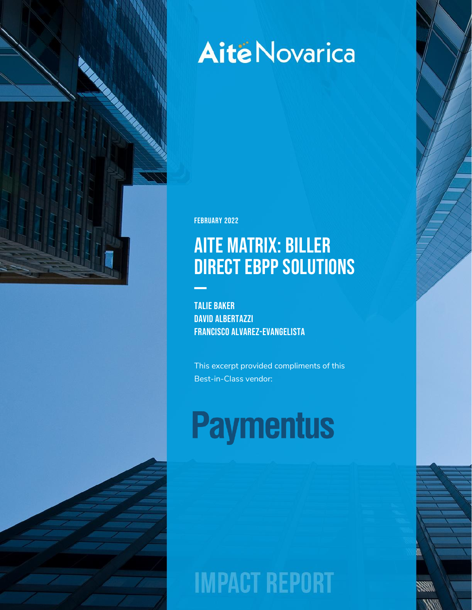

# **Aité Novarica**

February 2022

# Aite Matrix: Biller DIRECT EBPP SOLUTIONS

Talie Baker DAVID ALBERTAZZI Francisco Alvarez-Evangelista

This excerpt provided compliments of this Best-in-Class vendor:

# **Paymentus**

**IMPACT REPORT**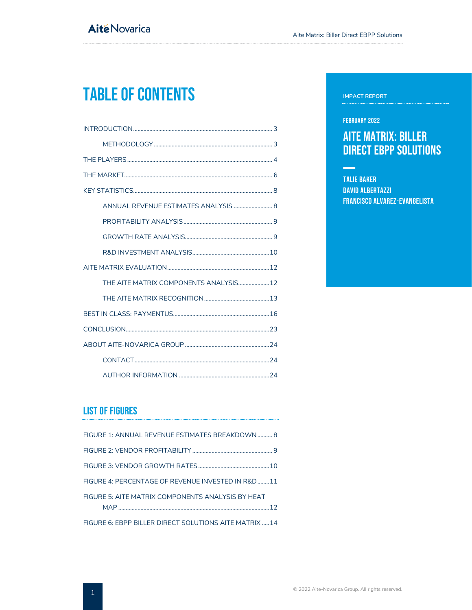# Table of Contents

| ANNUAL REVENUE ESTIMATES ANALYSIS  8   |
|----------------------------------------|
|                                        |
|                                        |
|                                        |
|                                        |
| THE AITE MATRIX COMPONENTS ANALYSIS 12 |
|                                        |
|                                        |
|                                        |
|                                        |
|                                        |
|                                        |

## List of Figures

| FIGURE 1: ANNUAL REVENUE ESTIMATES BREAKDOWN  8                                                                      |  |
|----------------------------------------------------------------------------------------------------------------------|--|
|                                                                                                                      |  |
|                                                                                                                      |  |
| FIGURE 4: PERCENTAGE OF REVENUE INVESTED IN R&D11                                                                    |  |
| FIGURE 5: AITE MATRIX COMPONENTS ANALYSIS BY HEAT                                                                    |  |
| <u>on and a complete the set of the set and and help and set and a set of the set of the set of the set of the s</u> |  |

[FIGURE 6: EBPP BILLER DIRECT SOLUTIONS AITE MATRIX](#page-14-0) .....14

#### **IMPACT REPORT**

#### February 2022

**Contract** 

## Aite Matrix: Biller DIRECT EBPP SOLUTIONS

Talie Baker David Albertazzi Francisco Alvarez-Evangelista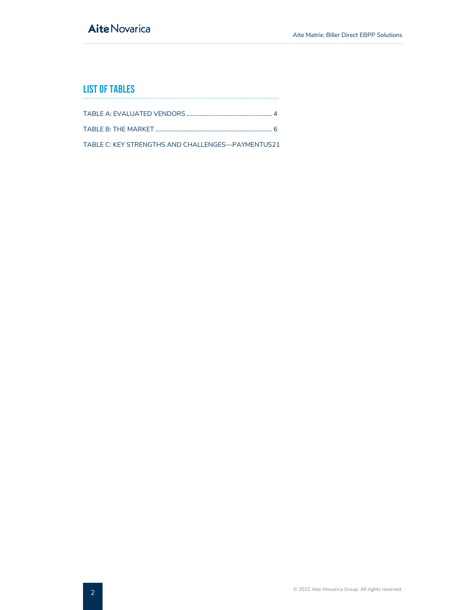## **Aité Novarica**

## List of Tables

TABLE B: THE MARKET [...............................................................................](#page-6-1) 6

[TABLE C: KEY STRENGTHS AND CHALLENGES](#page-21-0)—PAYMENTUS21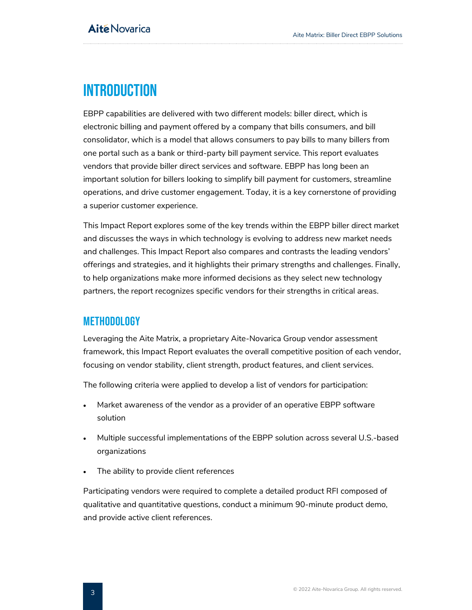## <span id="page-3-0"></span>**INTRODUCTION**

EBPP capabilities are delivered with two different models: biller direct, which is electronic billing and payment offered by a company that bills consumers, and bill consolidator, which is a model that allows consumers to pay bills to many billers from one portal such as a bank or third-party bill payment service. This report evaluates vendors that provide biller direct services and software. EBPP has long been an important solution for billers looking to simplify bill payment for customers, streamline operations, and drive customer engagement. Today, it is a key cornerstone of providing a superior customer experience.

This Impact Report explores some of the key trends within the EBPP biller direct market and discusses the ways in which technology is evolving to address new market needs and challenges. This Impact Report also compares and contrasts the leading vendors' offerings and strategies, and it highlights their primary strengths and challenges. Finally, to help organizations make more informed decisions as they select new technology partners, the report recognizes specific vendors for their strengths in critical areas.

## <span id="page-3-1"></span>METHODOLOGY

Leveraging the Aite Matrix, a proprietary Aite-Novarica Group vendor assessment framework, this Impact Report evaluates the overall competitive position of each vendor, focusing on vendor stability, client strength, product features, and client services.

The following criteria were applied to develop a list of vendors for participation:

- Market awareness of the vendor as a provider of an operative EBPP software solution
- Multiple successful implementations of the EBPP solution across several U.S.-based organizations
- The ability to provide client references

Participating vendors were required to complete a detailed product RFI composed of qualitative and quantitative questions, conduct a minimum 90-minute product demo, and provide active client references.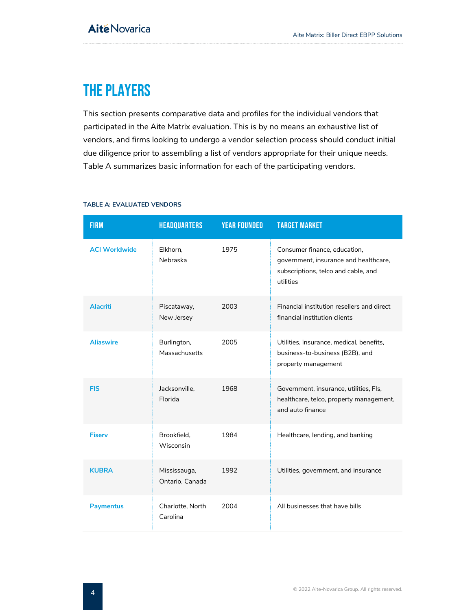# <span id="page-4-0"></span>THE PLAYERS

This section presents comparative data and profiles for the individual vendors that participated in the Aite Matrix evaluation. This is by no means an exhaustive list of vendors, and firms looking to undergo a vendor selection process should conduct initial due diligence prior to assembling a list of vendors appropriate for their unique needs. [Table A](#page-4-1) summarizes basic information for each of the participating vendors.

<span id="page-4-1"></span>

| <b>TABLE A: EVALUATED VENDORS</b> |  |
|-----------------------------------|--|
|-----------------------------------|--|

| <b>FIRM</b>          | <b>HEADQUARTERS</b>             | <b>YEAR FOUNDED</b> | <b>TARGET MARKET</b>                                                                                                      |
|----------------------|---------------------------------|---------------------|---------------------------------------------------------------------------------------------------------------------------|
| <b>ACI Worldwide</b> | Elkhorn,<br>Nebraska            | 1975                | Consumer finance, education,<br>government, insurance and healthcare,<br>subscriptions, telco and cable, and<br>utilities |
| <b>Alacriti</b>      | Piscataway,<br>New Jersey       | 2003                | Financial institution resellers and direct<br>financial institution clients                                               |
| <b>Aliaswire</b>     | Burlington,<br>Massachusetts    | 2005                | Utilities, insurance, medical, benefits,<br>business-to-business (B2B), and<br>property management                        |
| <b>FIS</b>           | Jacksonville,<br>Florida        | 1968                | Government, insurance, utilities, Fls,<br>healthcare, telco, property management,<br>and auto finance                     |
| <b>Fiserv</b>        | Brookfield,<br>Wisconsin        | 1984                | Healthcare, lending, and banking                                                                                          |
| <b>KUBRA</b>         | Mississauga,<br>Ontario, Canada | 1992                | Utilities, government, and insurance                                                                                      |
| <b>Paymentus</b>     | Charlotte, North<br>Carolina    | 2004                | All businesses that have bills                                                                                            |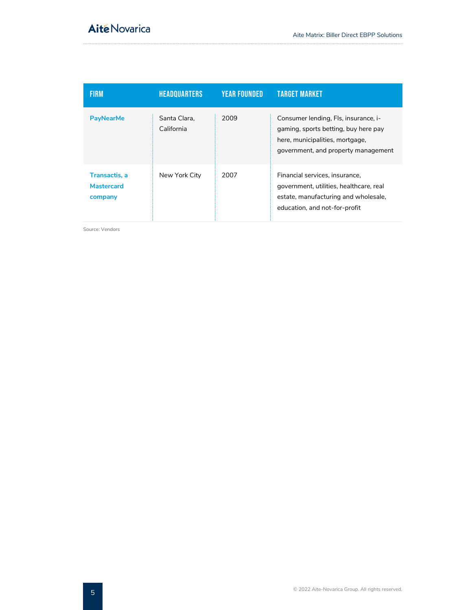| <b>FIRM</b>                                   | <b>HEADQUARTERS</b>        | <b>YEAR FOUNDED</b> | <b>TARGET MARKET</b>                                                                                                                                   |
|-----------------------------------------------|----------------------------|---------------------|--------------------------------------------------------------------------------------------------------------------------------------------------------|
| <b>PayNearMe</b>                              | Santa Clara.<br>California | 2009                | Consumer lending, Fls, insurance, i-<br>gaming, sports betting, buy here pay<br>here, municipalities, mortgage,<br>government, and property management |
| Transactis, a<br><b>Mastercard</b><br>company | New York City              | 2007                | Financial services, insurance,<br>government, utilities, healthcare, real<br>estate, manufacturing and wholesale,<br>education, and not-for-profit     |

Source: Vendors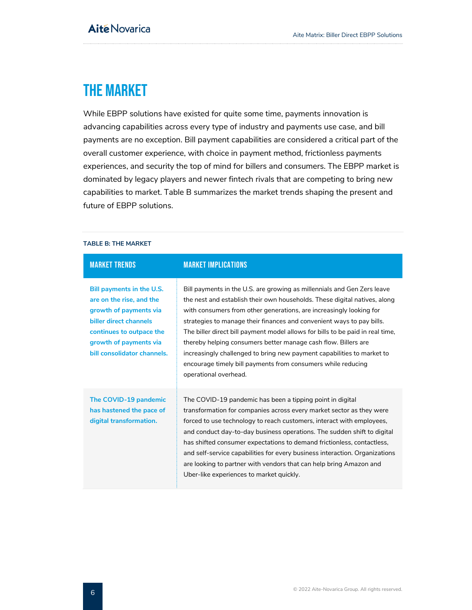## <span id="page-6-0"></span>THE MARKET

While EBPP solutions have existed for quite some time, payments innovation is advancing capabilities across every type of industry and payments use case, and bill payments are no exception. Bill payment capabilities are considered a critical part of the overall customer experience, with choice in payment method, frictionless payments experiences, and security the top of mind for billers and consumers. The EBPP market is dominated by legacy players and newer fintech rivals that are competing to bring new capabilities to market. Table B summarizes the market trends shaping the present and future of EBPP solutions.

#### <span id="page-6-1"></span>**TABLE B: THE MARKET**

| <b>MARKET TRENDS</b>                                                                                                                                                                           | <b>MARKET IMPLICATIONS</b>                                                                                                                                                                                                                                                                                                                                                                                                                                                                                                                                                                                                  |
|------------------------------------------------------------------------------------------------------------------------------------------------------------------------------------------------|-----------------------------------------------------------------------------------------------------------------------------------------------------------------------------------------------------------------------------------------------------------------------------------------------------------------------------------------------------------------------------------------------------------------------------------------------------------------------------------------------------------------------------------------------------------------------------------------------------------------------------|
| Bill payments in the U.S.<br>are on the rise, and the<br>growth of payments via<br>biller direct channels<br>continues to outpace the<br>growth of payments via<br>bill consolidator channels. | Bill payments in the U.S. are growing as millennials and Gen Zers leave<br>the nest and establish their own households. These digital natives, along<br>with consumers from other generations, are increasingly looking for<br>strategies to manage their finances and convenient ways to pay bills.<br>The biller direct bill payment model allows for bills to be paid in real time,<br>thereby helping consumers better manage cash flow. Billers are<br>increasingly challenged to bring new payment capabilities to market to<br>encourage timely bill payments from consumers while reducing<br>operational overhead. |
| The COVID-19 pandemic<br>has hastened the pace of<br>digital transformation.                                                                                                                   | The COVID-19 pandemic has been a tipping point in digital<br>transformation for companies across every market sector as they were<br>forced to use technology to reach customers, interact with employees,<br>and conduct day-to-day business operations. The sudden shift to digital<br>has shifted consumer expectations to demand frictionless, contactless,<br>and self-service capabilities for every business interaction. Organizations<br>are looking to partner with vendors that can help bring Amazon and<br>Uber-like experiences to market quickly.                                                            |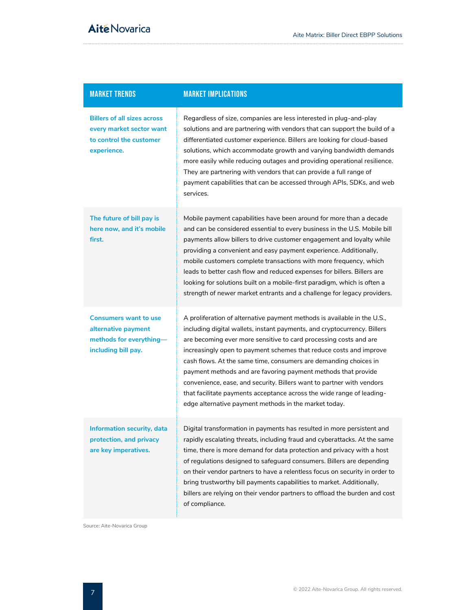| <b>MARKET TRENDS</b>                                                                                     | <b>MARKET IMPLICATIONS</b>                                                                                                                                                                                                                                                                                                                                                                                                                                                                                                                                                                                                                      |
|----------------------------------------------------------------------------------------------------------|-------------------------------------------------------------------------------------------------------------------------------------------------------------------------------------------------------------------------------------------------------------------------------------------------------------------------------------------------------------------------------------------------------------------------------------------------------------------------------------------------------------------------------------------------------------------------------------------------------------------------------------------------|
| <b>Billers of all sizes across</b><br>every market sector want<br>to control the customer<br>experience. | Regardless of size, companies are less interested in plug-and-play<br>solutions and are partnering with vendors that can support the build of a<br>differentiated customer experience. Billers are looking for cloud-based<br>solutions, which accommodate growth and varying bandwidth demands<br>more easily while reducing outages and providing operational resilience.<br>They are partnering with vendors that can provide a full range of<br>payment capabilities that can be accessed through APIs, SDKs, and web<br>services.                                                                                                          |
| The future of bill pay is<br>here now, and it's mobile<br>first.                                         | Mobile payment capabilities have been around for more than a decade<br>and can be considered essential to every business in the U.S. Mobile bill<br>payments allow billers to drive customer engagement and loyalty while<br>providing a convenient and easy payment experience. Additionally,<br>mobile customers complete transactions with more frequency, which<br>leads to better cash flow and reduced expenses for billers. Billers are<br>looking for solutions built on a mobile-first paradigm, which is often a<br>strength of newer market entrants and a challenge for legacy providers.                                           |
| <b>Consumers want to use</b><br>alternative payment<br>methods for everything-<br>including bill pay.    | A proliferation of alternative payment methods is available in the U.S.,<br>including digital wallets, instant payments, and cryptocurrency. Billers<br>are becoming ever more sensitive to card processing costs and are<br>increasingly open to payment schemes that reduce costs and improve<br>cash flows. At the same time, consumers are demanding choices in<br>payment methods and are favoring payment methods that provide<br>convenience, ease, and security. Billers want to partner with vendors<br>that facilitate payments acceptance across the wide range of leading-<br>edge alternative payment methods in the market today. |
| Information security, data<br>protection, and privacy<br>are key imperatives.                            | Digital transformation in payments has resulted in more persistent and<br>rapidly escalating threats, including fraud and cyberattacks. At the same<br>time, there is more demand for data protection and privacy with a host<br>of regulations designed to safeguard consumers. Billers are depending<br>on their vendor partners to have a relentless focus on security in order to<br>bring trustworthy bill payments capabilities to market. Additionally,<br>billers are relying on their vendor partners to offload the burden and cost<br>of compliance.                                                                                 |

Source: Aite-Novarica Group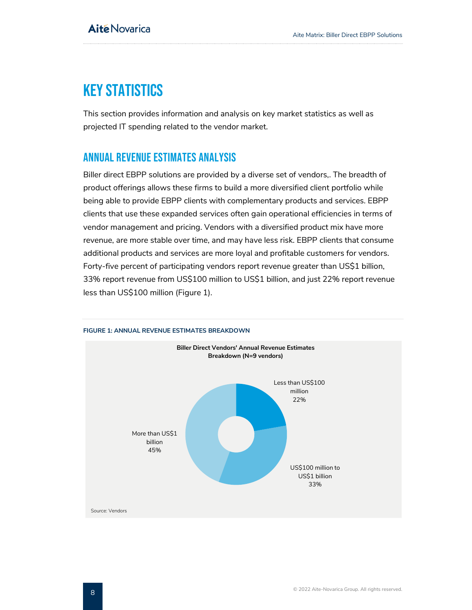# <span id="page-8-0"></span>KEY STATISTICS

This section provides information and analysis on key market statistics as well as projected IT spending related to the vendor market.

## <span id="page-8-1"></span>ANNUAL REVENUE ESTIMATES ANALYSIS

Biller direct EBPP solutions are provided by a diverse set of vendors,. The breadth of product offerings allows these firms to build a more diversified client portfolio while being able to provide EBPP clients with complementary products and services. EBPP clients that use these expanded services often gain operational efficiencies in terms of vendor management and pricing. Vendors with a diversified product mix have more revenue, are more stable over time, and may have less risk. EBPP clients that consume additional products and services are more loyal and profitable customers for vendors. Forty-five percent of participating vendors report revenue greater than US\$1 billion, 33% report revenue from US\$100 million to US\$1 billion, and just 22% report revenue less than US\$100 million (Figure 1).



#### <span id="page-8-2"></span>**FIGURE 1: ANNUAL REVENUE ESTIMATES BREAKDOWN**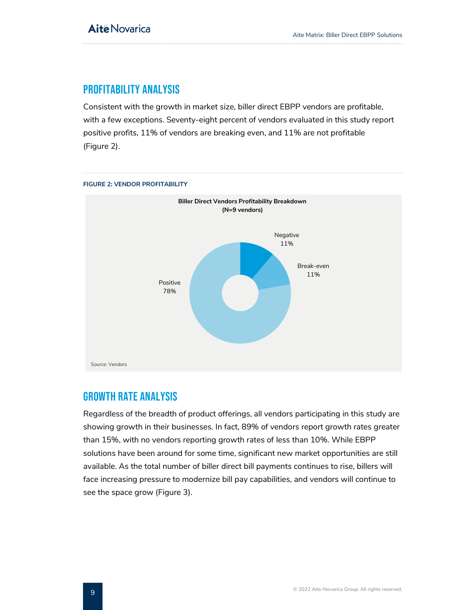## <span id="page-9-0"></span>PROFITABILITY ANALYSIS

Consistent with the growth in market size, biller direct EBPP vendors are profitable, with a few exceptions. Seventy-eight percent of vendors evaluated in this study report positive profits, 11% of vendors are breaking even, and 11% are not profitable (Figure 2).



#### <span id="page-9-2"></span>**FIGURE 2: VENDOR PROFITABILITY**

## <span id="page-9-1"></span>GROWTH RATE ANALYSIS

Regardless of the breadth of product offerings, all vendors participating in this study are showing growth in their businesses. In fact, 89% of vendors report growth rates greater than 15%, with no vendors reporting growth rates of less than 10%. While EBPP solutions have been around for some time, significant new market opportunities are still available. As the total number of biller direct bill payments continues to rise, billers will face increasing pressure to modernize bill pay capabilities, and vendors will continue to see the space grow (Figure 3).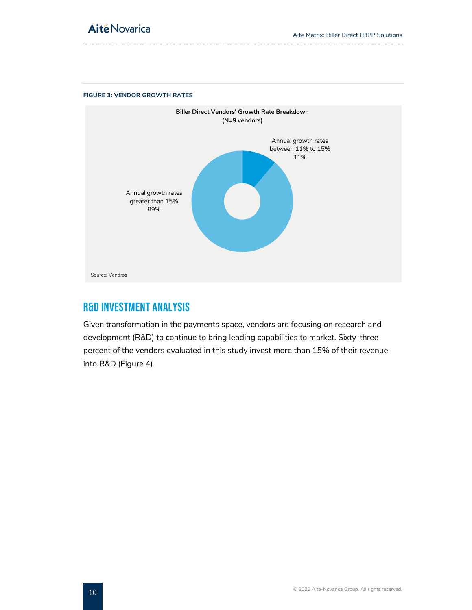

#### <span id="page-10-1"></span>**FIGURE 3: VENDOR GROWTH RATES**

## <span id="page-10-0"></span>R&D INVESTMENT ANALYSIS

Given transformation in the payments space, vendors are focusing on research and development (R&D) to continue to bring leading capabilities to market. Sixty-three percent of the vendors evaluated in this study invest more than 15% of their revenue into R&D (Figure 4).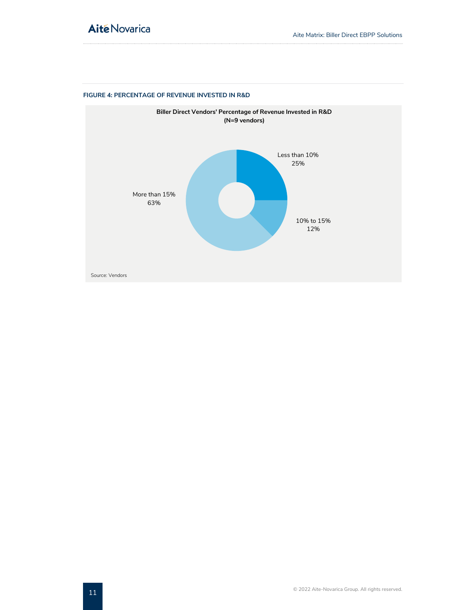## **Aité Novarica**



#### <span id="page-11-0"></span>**FIGURE 4: PERCENTAGE OF REVENUE INVESTED IN R&D**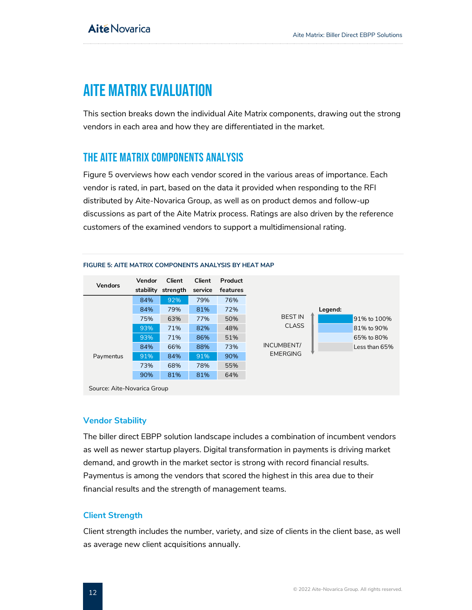# <span id="page-12-0"></span>AITE MATRIX EVALUATION

This section breaks down the individual Aite Matrix components, drawing out the strong vendors in each area and how they are differentiated in the market.

## <span id="page-12-1"></span>THE AITE MATRIX COMPONENTS ANALYSIS

Figure 5 overviews how each vendor scored in the various areas of importance. Each vendor is rated, in part, based on the data it provided when responding to the RFI distributed by Aite-Novarica Group, as well as on product demos and follow-up discussions as part of the Aite Matrix process. Ratings are also driven by the reference customers of the examined vendors to support a multidimensional rating.



#### <span id="page-12-2"></span>**FIGURE 5: AITE MATRIX COMPONENTS ANALYSIS BY HEAT MAP**

### **Vendor Stability**

The biller direct EBPP solution landscape includes a combination of incumbent vendors as well as newer startup players. Digital transformation in payments is driving market demand, and growth in the market sector is strong with record financial results. Paymentus is among the vendors that scored the highest in this area due to their financial results and the strength of management teams.

## **Client Strength**

Client strength includes the number, variety, and size of clients in the client base, as well as average new client acquisitions annually.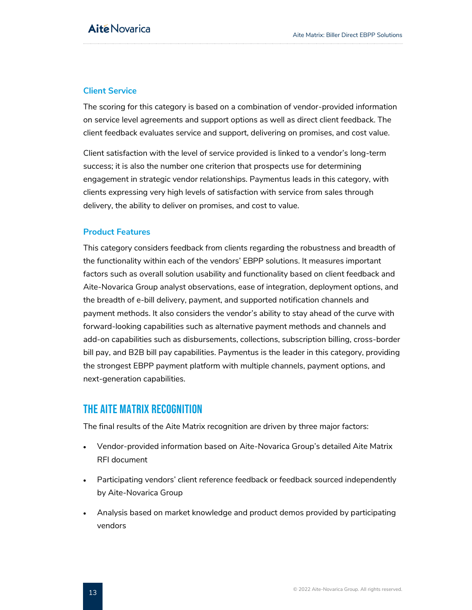## **Client Service**

The scoring for this category is based on a combination of vendor-provided information on service level agreements and support options as well as direct client feedback. The client feedback evaluates service and support, delivering on promises, and cost value.

Client satisfaction with the level of service provided is linked to a vendor's long-term success; it is also the number one criterion that prospects use for determining engagement in strategic vendor relationships. Paymentus leads in this category, with clients expressing very high levels of satisfaction with service from sales through delivery, the ability to deliver on promises, and cost to value.

#### **Product Features**

This category considers feedback from clients regarding the robustness and breadth of the functionality within each of the vendors' EBPP solutions. It measures important factors such as overall solution usability and functionality based on client feedback and Aite-Novarica Group analyst observations, ease of integration, deployment options, and the breadth of e-bill delivery, payment, and supported notification channels and payment methods. It also considers the vendor's ability to stay ahead of the curve with forward-looking capabilities such as alternative payment methods and channels and add-on capabilities such as disbursements, collections, subscription billing, cross-border bill pay, and B2B bill pay capabilities. Paymentus is the leader in this category, providing the strongest EBPP payment platform with multiple channels, payment options, and next-generation capabilities.

## <span id="page-13-0"></span>THE AITE MATRIX RECOGNITION

The final results of the Aite Matrix recognition are driven by three major factors:

- Vendor-provided information based on Aite-Novarica Group's detailed Aite Matrix RFI document
- Participating vendors' client reference feedback or feedback sourced independently by Aite-Novarica Group
- Analysis based on market knowledge and product demos provided by participating vendors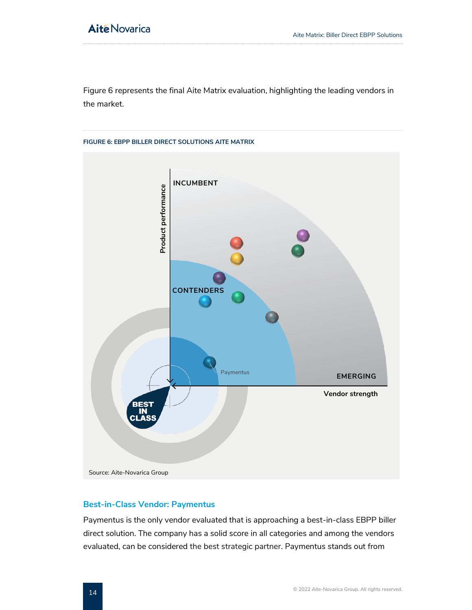Figure 6 represents the final Aite Matrix evaluation, highlighting the leading vendors in the market.

# <span id="page-14-0"></span>**FIGURE 6: EBPP BILLER DIRECT SOLUTIONS AITE MATRIX INCUMBENT** Product performance **Product performance CONTENDERS** Paymentus **EMERGING Vendor strength** Source: Aite-Novarica Group

### **Best-in-Class Vendor: Paymentus**

Paymentus is the only vendor evaluated that is approaching a best-in-class EBPP biller direct solution. The company has a solid score in all categories and among the vendors evaluated, can be considered the best strategic partner. Paymentus stands out from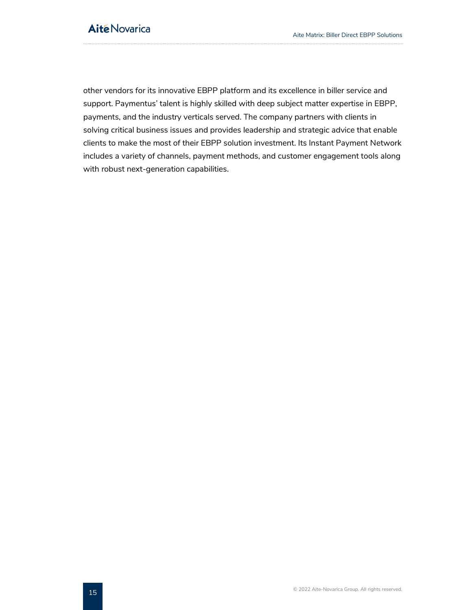other vendors for its innovative EBPP platform and its excellence in biller service and support. Paymentus' talent is highly skilled with deep subject matter expertise in EBPP, payments, and the industry verticals served. The company partners with clients in solving critical business issues and provides leadership and strategic advice that enable clients to make the most of their EBPP solution investment. Its Instant Payment Network includes a variety of channels, payment methods, and customer engagement tools along with robust next-generation capabilities.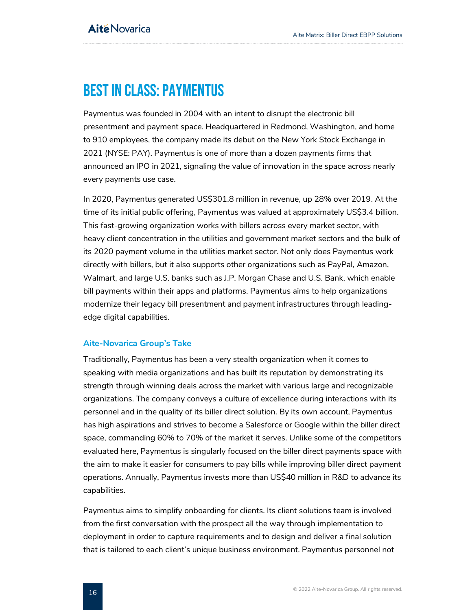# <span id="page-16-0"></span>BEST IN CLASS: PAYMENTUS

Paymentus was founded in 2004 with an intent to disrupt the electronic bill presentment and payment space. Headquartered in Redmond, Washington, and home to 910 employees, the company made its debut on the New York Stock Exchange in 2021 (NYSE: PAY). Paymentus is one of more than a dozen payments firms that announced an IPO in 2021, signaling the value of innovation in the space across nearly every payments use case.

In 2020, Paymentus generated US\$301.8 million in revenue, up 28% over 2019. At the time of its initial public offering, Paymentus was valued at approximately US\$3.4 billion. This fast-growing organization works with billers across every market sector, with heavy client concentration in the utilities and government market sectors and the bulk of its 2020 payment volume in the utilities market sector. Not only does Paymentus work directly with billers, but it also supports other organizations such as PayPal, Amazon, Walmart, and large U.S. banks such as J.P. Morgan Chase and U.S. Bank, which enable bill payments within their apps and platforms. Paymentus aims to help organizations modernize their legacy bill presentment and payment infrastructures through leadingedge digital capabilities.

### **Aite-Novarica Group's Take**

Traditionally, Paymentus has been a very stealth organization when it comes to speaking with media organizations and has built its reputation by demonstrating its strength through winning deals across the market with various large and recognizable organizations. The company conveys a culture of excellence during interactions with its personnel and in the quality of its biller direct solution. By its own account, Paymentus has high aspirations and strives to become a Salesforce or Google within the biller direct space, commanding 60% to 70% of the market it serves. Unlike some of the competitors evaluated here, Paymentus is singularly focused on the biller direct payments space with the aim to make it easier for consumers to pay bills while improving biller direct payment operations. Annually, Paymentus invests more than US\$40 million in R&D to advance its capabilities.

Paymentus aims to simplify onboarding for clients. Its client solutions team is involved from the first conversation with the prospect all the way through implementation to deployment in order to capture requirements and to design and deliver a final solution that is tailored to each client's unique business environment. Paymentus personnel not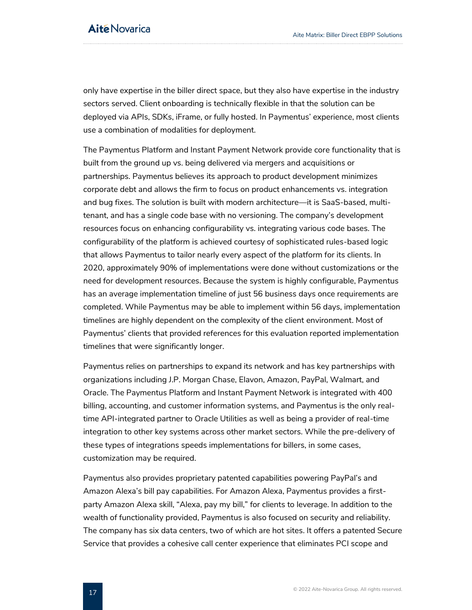only have expertise in the biller direct space, but they also have expertise in the industry sectors served. Client onboarding is technically flexible in that the solution can be deployed via APIs, SDKs, iFrame, or fully hosted. In Paymentus' experience, most clients use a combination of modalities for deployment.

The Paymentus Platform and Instant Payment Network provide core functionality that is built from the ground up vs. being delivered via mergers and acquisitions or partnerships. Paymentus believes its approach to product development minimizes corporate debt and allows the firm to focus on product enhancements vs. integration and bug fixes. The solution is built with modern architecture—it is SaaS-based, multitenant, and has a single code base with no versioning. The company's development resources focus on enhancing configurability vs. integrating various code bases. The configurability of the platform is achieved courtesy of sophisticated rules-based logic that allows Paymentus to tailor nearly every aspect of the platform for its clients. In 2020, approximately 90% of implementations were done without customizations or the need for development resources. Because the system is highly configurable, Paymentus has an average implementation timeline of just 56 business days once requirements are completed. While Paymentus may be able to implement within 56 days, implementation timelines are highly dependent on the complexity of the client environment. Most of Paymentus' clients that provided references for this evaluation reported implementation timelines that were significantly longer.

Paymentus relies on partnerships to expand its network and has key partnerships with organizations including J.P. Morgan Chase, Elavon, Amazon, PayPal, Walmart, and Oracle. The Paymentus Platform and Instant Payment Network is integrated with 400 billing, accounting, and customer information systems, and Paymentus is the only realtime API-integrated partner to Oracle Utilities as well as being a provider of real-time integration to other key systems across other market sectors. While the pre-delivery of these types of integrations speeds implementations for billers, in some cases, customization may be required.

Paymentus also provides proprietary patented capabilities powering PayPal's and Amazon Alexa's bill pay capabilities. For Amazon Alexa, Paymentus provides a firstparty Amazon Alexa skill, "Alexa, pay my bill," for clients to leverage. In addition to the wealth of functionality provided, Paymentus is also focused on security and reliability. The company has six data centers, two of which are hot sites. It offers a patented Secure Service that provides a cohesive call center experience that eliminates PCI scope and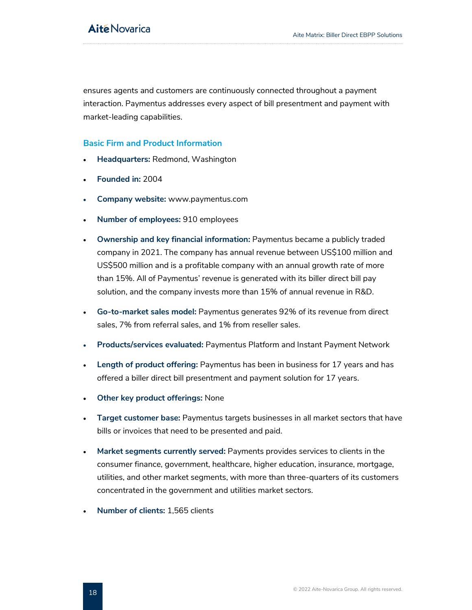ensures agents and customers are continuously connected throughout a payment interaction. Paymentus addresses every aspect of bill presentment and payment with market-leading capabilities.

#### **Basic Firm and Product Information**

- **Headquarters:** Redmond, Washington
- **Founded in:** 2004
- **Company website:** www.paymentus.com
- **Number of employees:** 910 employees
- **Ownership and key financial information:** Paymentus became a publicly traded company in 2021. The company has annual revenue between US\$100 million and US\$500 million and is a profitable company with an annual growth rate of more than 15%. All of Paymentus' revenue is generated with its biller direct bill pay solution, and the company invests more than 15% of annual revenue in R&D.
- **Go-to-market sales model:** Paymentus generates 92% of its revenue from direct sales, 7% from referral sales, and 1% from reseller sales.
- **Products/services evaluated:** Paymentus Platform and Instant Payment Network
- **Length of product offering:** Paymentus has been in business for 17 years and has offered a biller direct bill presentment and payment solution for 17 years.
- **Other key product offerings:** None
- **Target customer base:** Paymentus targets businesses in all market sectors that have bills or invoices that need to be presented and paid.
- **Market segments currently served:** Payments provides services to clients in the consumer finance, government, healthcare, higher education, insurance, mortgage, utilities, and other market segments, with more than three-quarters of its customers concentrated in the government and utilities market sectors.
- **Number of clients:** 1,565 clients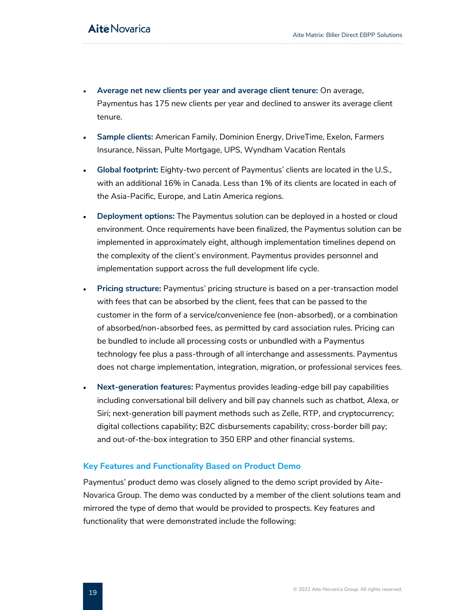- **Average net new clients per year and average client tenure:** On average, Paymentus has 175 new clients per year and declined to answer its average client tenure.
- **Sample clients:** American Family, Dominion Energy, DriveTime, Exelon, Farmers Insurance, Nissan, Pulte Mortgage, UPS, Wyndham Vacation Rentals
- **Global footprint:** Eighty-two percent of Paymentus' clients are located in the U.S., with an additional 16% in Canada. Less than 1% of its clients are located in each of the Asia-Pacific, Europe, and Latin America regions.
- **Deployment options:** The Paymentus solution can be deployed in a hosted or cloud environment. Once requirements have been finalized, the Paymentus solution can be implemented in approximately eight, although implementation timelines depend on the complexity of the client's environment. Paymentus provides personnel and implementation support across the full development life cycle.
- **Pricing structure:** Paymentus' pricing structure is based on a per-transaction model with fees that can be absorbed by the client, fees that can be passed to the customer in the form of a service/convenience fee (non-absorbed), or a combination of absorbed/non-absorbed fees, as permitted by card association rules. Pricing can be bundled to include all processing costs or unbundled with a Paymentus technology fee plus a pass-through of all interchange and assessments. Paymentus does not charge implementation, integration, migration, or professional services fees.
- **Next-generation features:** Paymentus provides leading-edge bill pay capabilities including conversational bill delivery and bill pay channels such as chatbot, Alexa, or Siri; next-generation bill payment methods such as Zelle, RTP, and cryptocurrency; digital collections capability; B2C disbursements capability; cross-border bill pay; and out-of-the-box integration to 350 ERP and other financial systems.

#### **Key Features and Functionality Based on Product Demo**

Paymentus' product demo was closely aligned to the demo script provided by Aite-Novarica Group. The demo was conducted by a member of the client solutions team and mirrored the type of demo that would be provided to prospects. Key features and functionality that were demonstrated include the following: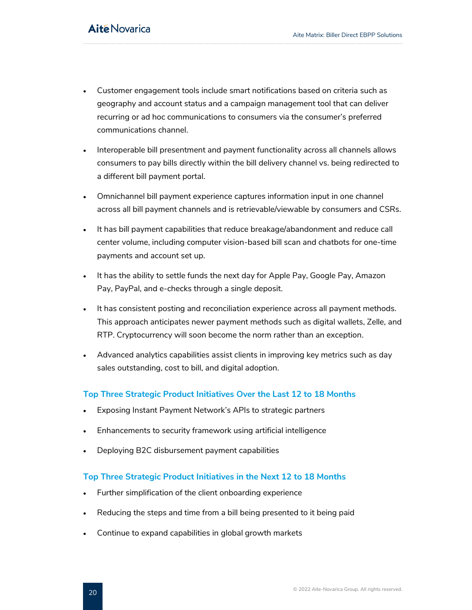- Customer engagement tools include smart notifications based on criteria such as geography and account status and a campaign management tool that can deliver recurring or ad hoc communications to consumers via the consumer's preferred communications channel.
- Interoperable bill presentment and payment functionality across all channels allows consumers to pay bills directly within the bill delivery channel vs. being redirected to a different bill payment portal.
- Omnichannel bill payment experience captures information input in one channel across all bill payment channels and is retrievable/viewable by consumers and CSRs.
- It has bill payment capabilities that reduce breakage/abandonment and reduce call center volume, including computer vision-based bill scan and chatbots for one-time payments and account set up.
- It has the ability to settle funds the next day for Apple Pay, Google Pay, Amazon Pay, PayPal, and e-checks through a single deposit.
- It has consistent posting and reconciliation experience across all payment methods. This approach anticipates newer payment methods such as digital wallets, Zelle, and RTP. Cryptocurrency will soon become the norm rather than an exception.
- Advanced analytics capabilities assist clients in improving key metrics such as day sales outstanding, cost to bill, and digital adoption.

## **Top Three Strategic Product Initiatives Over the Last 12 to 18 Months**

- Exposing Instant Payment Network's APIs to strategic partners
- Enhancements to security framework using artificial intelligence
- Deploying B2C disbursement payment capabilities

### **Top Three Strategic Product Initiatives in the Next 12 to 18 Months**

- Further simplification of the client onboarding experience
- Reducing the steps and time from a bill being presented to it being paid
- Continue to expand capabilities in global growth markets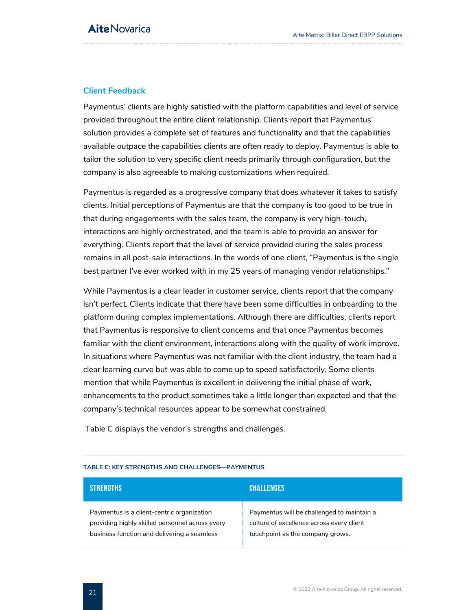## **Client Feedback**

Paymentus' clients are highly satisfied with the platform capabilities and level of service provided throughout the entire client relationship. Clients report that Paymentus' solution provides a complete set of features and functionality and that the capabilities available outpace the capabilities clients are often ready to deploy. Paymentus is able to tailor the solution to very specific client needs primarily through configuration, but the company is also agreeable to making customizations when required.

Paymentus is regarded as a progressive company that does whatever it takes to satisfy clients. Initial perceptions of Paymentus are that the company is too good to be true in that during engagements with the sales team, the company is very high-touch, interactions are highly orchestrated, and the team is able to provide an answer for everything. Clients report that the level of service provided during the sales process remains in all post-sale interactions. In the words of one client, "Paymentus is the single best partner I've ever worked with in my 25 years of managing vendor relationships."

While Paymentus is a clear leader in customer service, clients report that the company isn't perfect. Clients indicate that there have been some difficulties in onboarding to the platform during complex implementations. Although there are difficulties, clients report that Paymentus is responsive to client concerns and that once Paymentus becomes familiar with the client environment, interactions along with the quality of work improve. In situations where Paymentus was not familiar with the client industry, the team had a clear learning curve but was able to come up to speed satisfactorily. Some clients mention that while Paymentus is excellent in delivering the initial phase of work, enhancements to the product sometimes take a little longer than expected and that the company's technical resources appear to be somewhat constrained.

<span id="page-21-0"></span>[Table C](#page-21-0) displays the vendor's strengths and challenges.

| <b>STRENGTHS</b>                                | <b>CHALLENGES</b>                          |
|-------------------------------------------------|--------------------------------------------|
| Paymentus is a client-centric organization      | Paymentus will be challenged to maintain a |
| providing highly skilled personnel across every | culture of excellence across every client  |
| business function and delivering a seamless     | touchpoint as the company grows.           |

#### **TABLE C: KEY STRENGTHS AND CHALLENGES—PAYMENTUS**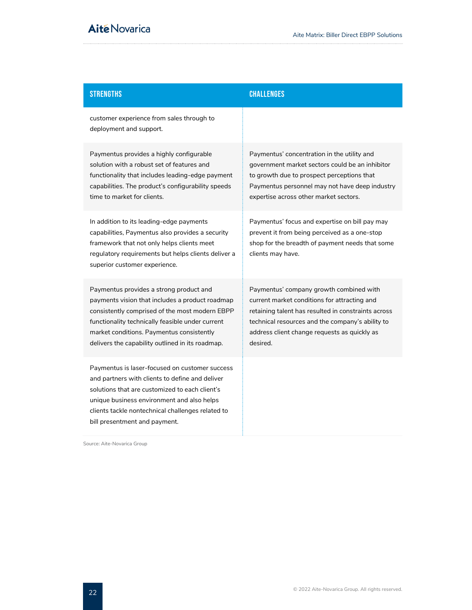## STRENGTHS CHALLENGES

customer experience from sales through to deployment and support.

Paymentus provides a highly configurable solution with a robust set of features and functionality that includes leading-edge payment capabilities. The product's configurability speeds time to market for clients.

In addition to its leading-edge payments capabilities, Paymentus also provides a security framework that not only helps clients meet regulatory requirements but helps clients deliver a superior customer experience.

Paymentus provides a strong product and payments vision that includes a product roadmap consistently comprised of the most modern EBPP functionality technically feasible under current market conditions. Paymentus consistently delivers the capability outlined in its roadmap.

Paymentus is laser-focused on customer success and partners with clients to define and deliver solutions that are customized to each client's unique business environment and also helps clients tackle nontechnical challenges related to bill presentment and payment.

Paymentus' concentration in the utility and government market sectors could be an inhibitor to growth due to prospect perceptions that Paymentus personnel may not have deep industry expertise across other market sectors.

Paymentus' focus and expertise on bill pay may prevent it from being perceived as a one-stop shop for the breadth of payment needs that some clients may have.

Paymentus' company growth combined with current market conditions for attracting and retaining talent has resulted in constraints across technical resources and the company's ability to address client change requests as quickly as desired.

Source: Aite-Novarica Group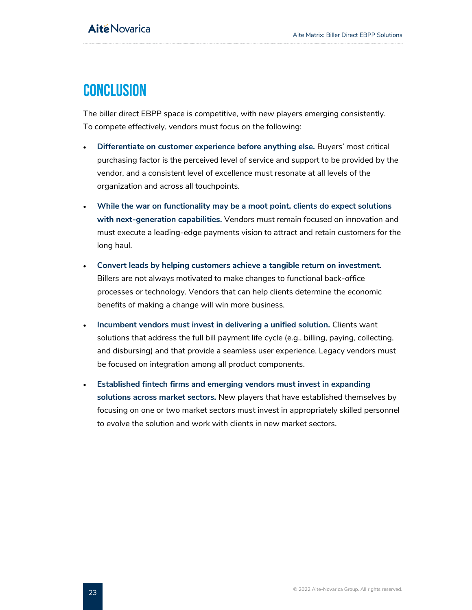## <span id="page-23-0"></span>**CONCLUSION**

The biller direct EBPP space is competitive, with new players emerging consistently. To compete effectively, vendors must focus on the following:

- **Differentiate on customer experience before anything else.** Buyers' most critical purchasing factor is the perceived level of service and support to be provided by the vendor, and a consistent level of excellence must resonate at all levels of the organization and across all touchpoints.
- **While the war on functionality may be a moot point, clients do expect solutions with next-generation capabilities.** Vendors must remain focused on innovation and must execute a leading-edge payments vision to attract and retain customers for the long haul.
- **Convert leads by helping customers achieve a tangible return on investment.** Billers are not always motivated to make changes to functional back-office processes or technology. Vendors that can help clients determine the economic benefits of making a change will win more business.
- **Incumbent vendors must invest in delivering a unified solution.** Clients want solutions that address the full bill payment life cycle (e.g., billing, paying, collecting, and disbursing) and that provide a seamless user experience. Legacy vendors must be focused on integration among all product components.
- **Established fintech firms and emerging vendors must invest in expanding solutions across market sectors.** New players that have established themselves by focusing on one or two market sectors must invest in appropriately skilled personnel to evolve the solution and work with clients in new market sectors.